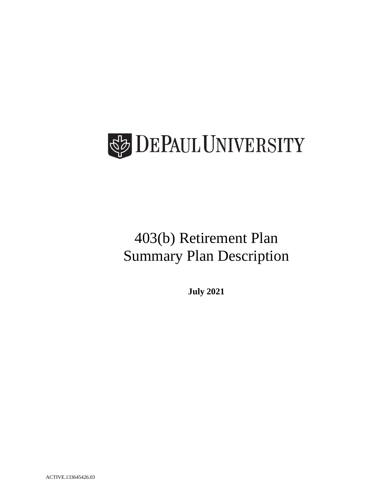

# 403(b) Retirement Plan Summary Plan Description

**July 2021**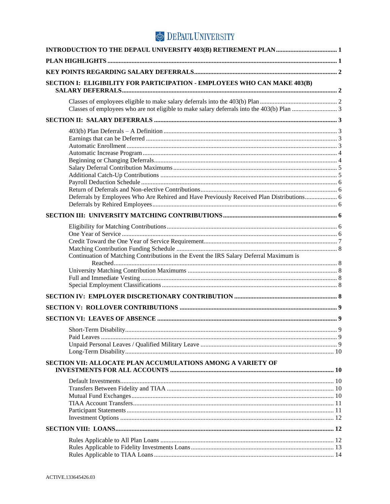| SECTION I: ELIGIBILITY FOR PARTICIPATION - EMPLOYEES WHO CAN MAKE 403(B)                 |             |
|------------------------------------------------------------------------------------------|-------------|
|                                                                                          |             |
|                                                                                          |             |
| Deferrals by Employees Who Are Rehired and Have Previously Received Plan Distributions 6 |             |
|                                                                                          |             |
|                                                                                          |             |
| Continuation of Matching Contributions in the Event the IRS Salary Deferral Maximum is   |             |
|                                                                                          |             |
|                                                                                          |             |
|                                                                                          |             |
|                                                                                          |             |
| Short-Term Disability.                                                                   | $\mathbf Q$ |
| SECTION VII: ALLOCATE PLAN ACCUMULATIONS AMONG A VARIETY OF                              |             |
|                                                                                          |             |
|                                                                                          |             |
|                                                                                          |             |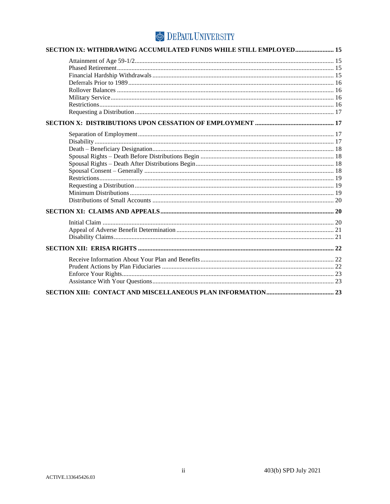| SECTION IX: WITHDRAWING ACCUMULATED FUNDS WHILE STILL EMPLOYED 15 |  |
|-------------------------------------------------------------------|--|
|                                                                   |  |
|                                                                   |  |
|                                                                   |  |
|                                                                   |  |
|                                                                   |  |
|                                                                   |  |
|                                                                   |  |
|                                                                   |  |
|                                                                   |  |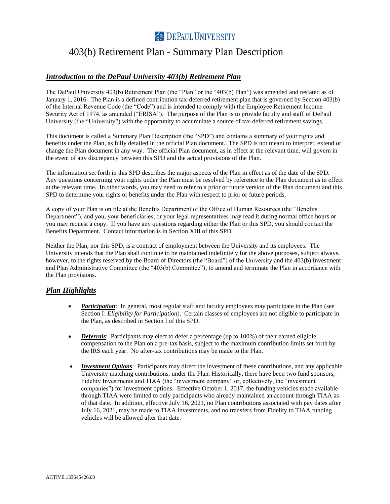### <span id="page-3-0"></span>403(b) Retirement Plan - Summary Plan Description

### *Introduction to the DePaul University 403(b) Retirement Plan*

The DePaul University 403(b) Retirement Plan (the "Plan" or the "403(b) Plan") was amended and restated as of January 1, 2016. The Plan is a defined contribution tax-deferred retirement plan that is governed by Section 403(b) of the Internal Revenue Code (the "Code") and is intended to comply with the Employee Retirement Income Security Act of 1974, as amended ("ERISA"). The purpose of the Plan is to provide faculty and staff of DePaul University (the "University") with the opportunity to accumulate a source of tax-deferred retirement savings.

This document is called a Summary Plan Description (the "SPD") and contains a summary of your rights and benefits under the Plan, as fully detailed in the official Plan document. The SPD is not meant to interpret, extend or change the Plan document in any way. The official Plan document, as in effect at the relevant time, will govern in the event of any discrepancy between this SPD and the actual provisions of the Plan.

The information set forth in this SPD describes the major aspects of the Plan in effect as of the date of the SPD. Any questions concerning your rights under the Plan must be resolved by reference to the Plan document as in effect at the relevant time. In other words, you may need to refer to a prior or future version of the Plan document and this SPD to determine your rights or benefits under the Plan with respect to prior or future periods.

A copy of your Plan is on file at the Benefits Department of the Office of Human Resources (the "Benefits Department"), and you, your beneficiaries, or your legal representatives may read it during normal office hours or you may request a copy. If you have any questions regarding either the Plan or this SPD, you should contact the Benefits Department. Contact information is in Section XIII of this SPD.

Neither the Plan, nor this SPD, is a contract of employment between the University and its employees. The University intends that the Plan shall continue to be maintained indefinitely for the above purposes, subject always, however, to the rights reserved by the Board of Directors (the "Board") of the University and the 403(b) Investment and Plan Administrative Committee (the "403(b) Committee"), to amend and terminate the Plan in accordance with the Plan provisions.

### *Plan Highlights*

- <span id="page-3-1"></span>• *Participation*: In general, most regular staff and faculty employees may participate in the Plan (see Section I: *Eligibility for Participation*). Certain classes of employees are not eligible to participate in the Plan, as described in Section I of this SPD.
- *Deferrals*: Participants may elect to defer a percentage (up to 100%) of their earned eligible compensation to the Plan on a pre-tax basis, subject to the maximum contribution limits set forth by the IRS each year. No after-tax contributions may be made to the Plan.
- *Investment Options*: Participants may direct the investment of these contributions, and any applicable University matching contributions, under the Plan. Historically, there have been two fund sponsors, Fidelity Investments and TIAA (the "investment company" or, collectively, the "investment companies") for investment options. Effective October 1, 2017, the funding vehicles made available through TIAA were limited to only participants who already maintained an account through TIAA as of that date. In addition, effective July 16, 2021, no Plan contributions associated with pay dates after July 16, 2021, may be made to TIAA investments, and no transfers from Fidelity to TIAA funding vehicles will be allowed after that date.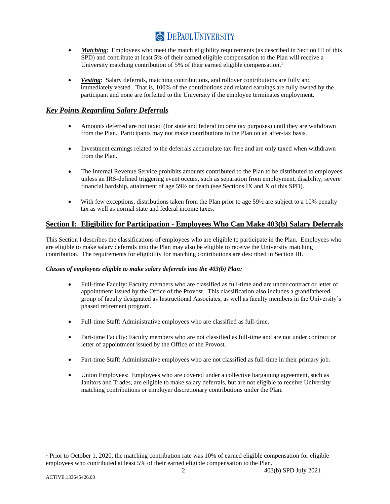- *Matching*: Employees who meet the match eligibility requirements (as described in Section III of this SPD) and contribute at least 5% of their earned eligible compensation to the Plan will receive a University matching contribution of 5% of their earned eligible compensation.<sup>1</sup>
- *Vesting*: Salary deferrals, matching contributions, and rollover contributions are fully and immediately vested. That is, 100% of the contributions and related earnings are fully owned by the participant and none are forfeited to the University if the employee terminates employment.

### *Key Points Regarding Salary Deferrals*

- <span id="page-4-0"></span>• Amounts deferred are not taxed (for state and federal income tax purposes) until they are withdrawn from the Plan. Participants may not make contributions to the Plan on an after-tax basis.
- Investment earnings related to the deferrals accumulate tax-free and are only taxed when withdrawn from the Plan.
- The Internal Revenue Service prohibits amounts contributed to the Plan to be distributed to employees unless an IRS-defined triggering event occurs, such as separation from employment, disability, severe financial hardship, attainment of age 59½ or death (see Sections IX and X of this SPD).
- <span id="page-4-1"></span>• With few exceptions, distributions taken from the Plan prior to age  $59\frac{1}{2}$  are subject to a 10% penalty tax as well as normal state and federal income taxes.

### **Section I: Eligibility for Participation - Employees Who Can Make 403(b) Salary Deferrals**

This Section I describes the classifications of employees who are eligible to participate in the Plan. Employees who are eligible to make salary deferrals into the Plan may also be eligible to receive the University matching contribution. The requirements for eligibility for matching contributions are described in Section III.

#### *Classes of employees eligible to make salary deferrals into the 403(b) Plan:*

- <span id="page-4-2"></span>• Full-time Faculty: Faculty members who are classified as full-time and are under contract or letter of appointment issued by the Office of the Provost. This classification also includes a grandfathered group of faculty designated as Instructional Associates, as well as faculty members in the University's phased retirement program.
- Full-time Staff: Administrative employees who are classified as full-time.
- Part-time Faculty: Faculty members who are not classified as full-time and are not under contract or letter of appointment issued by the Office of the Provost.
- Part-time Staff: Administrative employees who are not classified as full-time in their primary job.
- Union Employees: Employees who are covered under a collective bargaining agreement, such as Janitors and Trades, are eligible to make salary deferrals, but are not eligible to receive University matching contributions or employer discretionary contributions under the Plan.

<sup>&</sup>lt;sup>1</sup> Prior to October 1, 2020, the matching contribution rate was 10% of earned eligible compensation for eligible employees who contributed at least 5% of their earned eligible compensation to the Plan.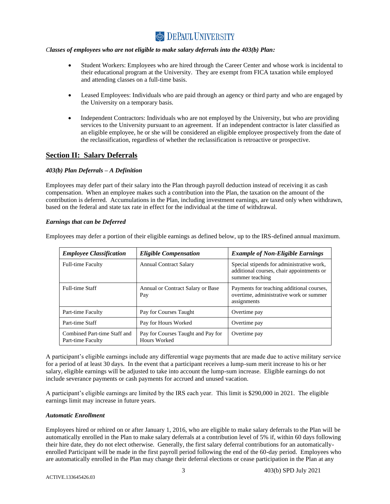#### *Classes of employees who are not eligible to make salary deferrals into the 403(b) Plan:*

- <span id="page-5-0"></span>• Student Workers: Employees who are hired through the Career Center and whose work is incidental to their educational program at the University. They are exempt from FICA taxation while employed and attending classes on a full-time basis.
- Leased Employees: Individuals who are paid through an agency or third party and who are engaged by the University on a temporary basis.
- <span id="page-5-2"></span><span id="page-5-1"></span>• Independent Contractors: Individuals who are not employed by the University, but who are providing services to the University pursuant to an agreement. If an independent contractor is later classified as an eligible employee, he or she will be considered an eligible employee prospectively from the date of the reclassification, regardless of whether the reclassification is retroactive or prospective.

### **Section II: Salary Deferrals**

#### *403(b) Plan Deferrals – A Definition*

Employees may defer part of their salary into the Plan through payroll deduction instead of receiving it as cash compensation. When an employee makes such a contribution into the Plan, the taxation on the amount of the contribution is deferred. Accumulations in the Plan, including investment earnings, are taxed only when withdrawn, based on the federal and state tax rate in effect for the individual at the time of withdrawal.

#### *Earnings that can be Deferred*

Employees may defer a portion of their eligible earnings as defined below, up to the IRS-defined annual maximum.

<span id="page-5-3"></span>

| <b>Employee Classification</b>                    | <b>Eligible Compensation</b>                       | <b>Example of Non-Eligible Earnings</b>                                                                   |
|---------------------------------------------------|----------------------------------------------------|-----------------------------------------------------------------------------------------------------------|
| <b>Full-time Faculty</b>                          | <b>Annual Contract Salary</b>                      | Special stipends for administrative work,<br>additional courses, chair appointments or<br>summer teaching |
| <b>Full-time Staff</b>                            | Annual or Contract Salary or Base<br>Pay           | Payments for teaching additional courses,<br>overtime, administrative work or summer<br>assignments       |
| Part-time Faculty                                 | Pay for Courses Taught                             | Overtime pay                                                                                              |
| Part-time Staff                                   | Pay for Hours Worked                               | Overtime pay                                                                                              |
| Combined Part-time Staff and<br>Part-time Faculty | Pay for Courses Taught and Pay for<br>Hours Worked | Overtime pay                                                                                              |

A participant's eligible earnings include any differential wage payments that are made due to active military service for a period of at least 30 days. In the event that a participant receives a lump-sum merit increase to his or her salary, eligible earnings will be adjusted to take into account the lump-sum increase. Eligible earnings do not include severance payments or cash payments for accrued and unused vacation.

A participant's eligible earnings are limited by the IRS each year. This limit is \$290,000 in 2021. The eligible earnings limit may increase in future years.

#### <span id="page-5-4"></span>*Automatic Enrollment*

Employees hired or rehired on or after January 1, 2016, who are eligible to make salary deferrals to the Plan will be automatically enrolled in the Plan to make salary deferrals at a contribution level of 5% if, within 60 days following their hire date, they do not elect otherwise. Generally, the first salary deferral contributions for an automaticallyenrolled Participant will be made in the first payroll period following the end of the 60-day period. Employees who are automatically enrolled in the Plan may change their deferral elections or cease participation in the Plan at any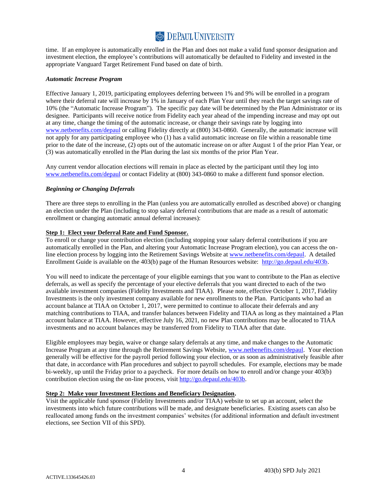time. If an employee is automatically enrolled in the Plan and does not make a valid fund sponsor designation and investment election, the employee's contributions will automatically be defaulted to Fidelity and invested in the appropriate Vanguard Target Retirement Fund based on date of birth.

#### <span id="page-6-0"></span>*Automatic Increase Program*

Effective January 1, 2019, participating employees deferring between 1% and 9% will be enrolled in a program where their deferral rate will increase by 1% in January of each Plan Year until they reach the target savings rate of 10% (the "Automatic Increase Program"). The specific pay date will be determined by the Plan Administrator or its designee. Participants will receive notice from Fidelity each year ahead of the impending increase and may opt out at any time, change the timing of the automatic increase, or change their savings rate by logging into [www.netbenefits.com/depaul](http://www.netbenefits.com/depaul) or calling Fidelity directly at (800) 343-0860. Generally, the automatic increase will not apply for any participating employee who (1) has a valid automatic increase on file within a reasonable time prior to the date of the increase, (2) opts out of the automatic increase on or after August 1 of the prior Plan Year, or (3) was automatically enrolled in the Plan during the last six months of the prior Plan Year.

Any current vendor allocation elections will remain in place as elected by the participant until they log into [www.netbenefits.com/depaul](http://www.netbenefits.com/depaul) or contact Fidelity at (800) 343-0860 to make a different fund sponsor election.

#### <span id="page-6-1"></span>*Beginning or Changing Deferrals*

There are three steps to enrolling in the Plan (unless you are automatically enrolled as described above) or changing an election under the Plan (including to stop salary deferral contributions that are made as a result of automatic enrollment or changing automatic annual deferral increases):

#### **Step 1: Elect your Deferral Rate and Fund Sponsor.**

To enroll or change your contribution election (including stopping your salary deferral contributions if you are automatically enrolled in the Plan, and altering your Automatic Increase Program election), you can access the online election process by logging into the Retirement Savings Website at [www.netbenefits.com/depaul.](http://www.netbenefits.com/depaul) A detailed Enrollment Guide is available on the 403(b) page of the Human Resources website: [http://go.depaul.edu/403b.](http://offices.depaul.edu/human-resources/benefits/403b-retirement/Pages/default.aspx)

You will need to indicate the percentage of your eligible earnings that you want to contribute to the Plan as elective deferrals, as well as specify the percentage of your elective deferrals that you want directed to each of the two available investment companies (Fidelity Investments and TIAA). Please note, effective October 1, 2017, Fidelity Investments is the only investment company available for new enrollments to the Plan. Participants who had an account balance at TIAA on October 1, 2017, were permitted to continue to allocate their deferrals and any matching contributions to TIAA, and transfer balances between Fidelity and TIAA as long as they maintained a Plan account balance at TIAA. However, effective July 16, 2021, no new Plan contributions may be allocated to TIAA investments and no account balances may be transferred from Fidelity to TIAA after that date.

Eligible employees may begin, waive or change salary deferrals at any time, and make changes to the Automatic Increase Program at any time through the Retirement Savings Website, [www.netbenefits.com/depaul.](http://www.netbenefits.com/depaul) Your election generally will be effective for the payroll period following your election, or as soon as administratively feasible after that date, in accordance with Plan procedures and subject to payroll schedules. For example, elections may be made bi-weekly, up until the Friday prior to a paycheck. For more details on how to enroll and/or change your 403(b) contribution election using the on-line process, visit [http://go.depaul.edu/403b.](http://offices.depaul.edu/human-resources/benefits/403b-retirement/Pages/default.aspx)

#### **Step 2: Make your Investment Elections and Beneficiary Designation.**

Visit the applicable fund sponsor (Fidelity Investments and/or TIAA) website to set up an account, select the investments into which future contributions will be made, and designate beneficiaries. Existing assets can also be reallocated among funds on the investment companies' websites (for additional information and default investment elections, see Section VII of this SPD).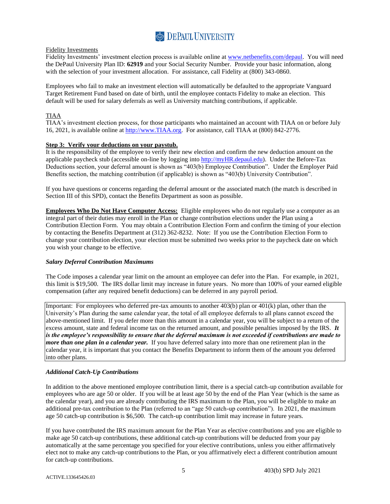

#### Fidelity Investments

Fidelity Investments' investment election process is available online at [www.netbenefits.com/depaul.](https://nb.fidelity.com/public/nb/depaul/home) You will need the DePaul University Plan ID: **62919** and your Social Security Number. Provide your basic information, along with the selection of your investment allocation. For assistance, call Fidelity at (800) 343-0860.

Employees who fail to make an investment election will automatically be defaulted to the appropriate Vanguard Target Retirement Fund based on date of birth, until the employee contacts Fidelity to make an election. This default will be used for salary deferrals as well as University matching contributions, if applicable.

### TIAA

TIAA's investment election process, for those participants who maintained an account with TIAA on or before July 16, 2021, is available online at [http://www.TIAA.org.](http://www.tiaa.org/) For assistance, call TIAA at (800) 842-2776.

### **Step 3: Verify your deductions on your paystub.**

It is the responsibility of the employee to verify their new election and confirm the new deduction amount on the applicable paycheck stub (accessible on-line by logging into [http://myHR.depaul.edu\)](http://myhr.depaul.edu/). Under the Before-Tax Deductions section, your deferral amount is shown as "403(b) Employee Contribution". Under the Employer Paid Benefits section, the matching contribution (if applicable) is shown as "403(b) University Contribution".

If you have questions or concerns regarding the deferral amount or the associated match (the match is described in Section III of this SPD), contact the Benefits Department as soon as possible.

**Employees Who Do Not Have Computer Access:** Eligible employees who do not regularly use a computer as an integral part of their duties may enroll in the Plan or change contribution elections under the Plan using a Contribution Election Form. You may obtain a Contribution Election Form and confirm the timing of your election by contacting the Benefits Department at (312) 362-8232. Note: If you use the Contribution Election Form to change your contribution election, your election must be submitted two weeks prior to the paycheck date on which you wish your change to be effective.

#### <span id="page-7-0"></span>*Salary Deferral Contribution Maximums*

The Code imposes a calendar year limit on the amount an employee can defer into the Plan. For example, in 2021, this limit is \$19,500. The IRS dollar limit may increase in future years. No more than 100% of your earned eligible compensation (after any required benefit deductions) can be deferred in any payroll period.

Important: For employees who deferred pre-tax amounts to another 403(b) plan or 401(k) plan, other than the University's Plan during the same calendar year, the total of all employee deferrals to all plans cannot exceed the above-mentioned limit. If you defer more than this amount in a calendar year, you will be subject to a return of the excess amount, state and federal income tax on the returned amount, and possible penalties imposed by the IRS. *It is the employee's responsibility to ensure that the deferral maximum is not exceeded if contributions are made to more than one plan in a calendar year.* If you have deferred salary into more than one retirement plan in the calendar year, it is important that you contact the Benefits Department to inform them of the amount you deferred into other plans.

#### <span id="page-7-1"></span>*Additional Catch-Up Contributions*

In addition to the above mentioned employee contribution limit, there is a special catch-up contribution available for employees who are age 50 or older. If you will be at least age 50 by the end of the Plan Year (which is the same as the calendar year), and you are already contributing the IRS maximum to the Plan, you will be eligible to make an additional pre-tax contribution to the Plan (referred to an "age 50 catch-up contribution"). In 2021, the maximum age 50 catch-up contribution is \$6,500. The catch-up contribution limit may increase in future years.

If you have contributed the IRS maximum amount for the Plan Year as elective contributions and you are eligible to make age 50 catch-up contributions, these additional catch-up contributions will be deducted from your pay automatically at the same percentage you specified for your elective contributions, unless you either affirmatively elect not to make any catch-up contributions to the Plan, or you affirmatively elect a different contribution amount for catch-up contributions.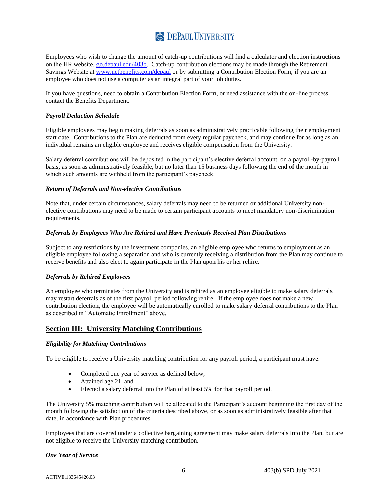Employees who wish to change the amount of catch-up contributions will find a calculator and election instructions on the HR website, [go.depaul.edu/403b.](http://offices.depaul.edu/human-resources/benefits/403b-retirement/Pages/default.aspx) Catch-up contribution elections may be made through the Retirement Savings Website at [www.netbenefits.com/depaul](http://www.netbenefits.com/depaul) or by submitting a Contribution Election Form, if you are an employee who does not use a computer as an integral part of your job duties.

If you have questions, need to obtain a Contribution Election Form, or need assistance with the on-line process, contact the Benefits Department.

#### <span id="page-8-0"></span>*Payroll Deduction Schedule*

Eligible employees may begin making deferrals as soon as administratively practicable following their employment start date. Contributions to the Plan are deducted from every regular paycheck, and may continue for as long as an individual remains an eligible employee and receives eligible compensation from the University.

Salary deferral contributions will be deposited in the participant's elective deferral account, on a payroll-by-payroll basis, as soon as administratively feasible, but no later than 15 business days following the end of the month in which such amounts are withheld from the participant's paycheck.

#### <span id="page-8-1"></span>*Return of Deferrals and Non-elective Contributions*

Note that, under certain circumstances, salary deferrals may need to be returned or additional University nonelective contributions may need to be made to certain participant accounts to meet mandatory non-discrimination requirements.

#### <span id="page-8-2"></span>*Deferrals by Employees Who Are Rehired and Have Previously Received Plan Distributions*

Subject to any restrictions by the investment companies, an eligible employee who returns to employment as an eligible employee following a separation and who is currently receiving a distribution from the Plan may continue to receive benefits and also elect to again participate in the Plan upon his or her rehire.

#### <span id="page-8-3"></span>*Deferrals by Rehired Employees*

An employee who terminates from the University and is rehired as an employee eligible to make salary deferrals may restart deferrals as of the first payroll period following rehire. If the employee does not make a new contribution election, the employee will be automatically enrolled to make salary deferral contributions to the Plan as described in "Automatic Enrollment" above.

### **Section III: University Matching Contributions**

#### *Eligibility for Matching Contributions*

To be eligible to receive a University matching contribution for any payroll period, a participant must have:

- <span id="page-8-5"></span><span id="page-8-4"></span>• Completed one year of service as defined below,
- Attained age 21, and
- Elected a salary deferral into the Plan of at least 5% for that payroll period.

The University 5% matching contribution will be allocated to the Participant's account beginning the first day of the month following the satisfaction of the criteria described above, or as soon as administratively feasible after that date, in accordance with Plan procedures.

Employees that are covered under a collective bargaining agreement may make salary deferrals into the Plan, but are not eligible to receive the University matching contribution.

#### <span id="page-8-6"></span>*One Year of Service*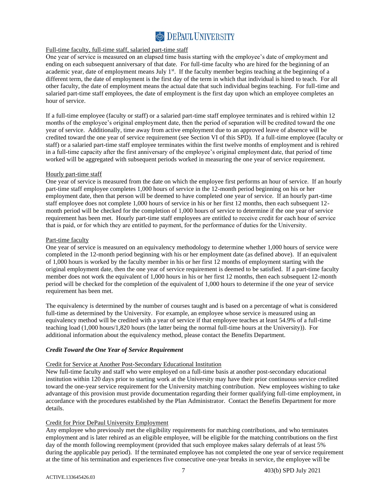#### Full-time faculty, full-time staff, salaried part-time staff

One year of service is measured on an elapsed time basis starting with the employee's date of employment and ending on each subsequent anniversary of that date. For full-time faculty who are hired for the beginning of an academic year, date of employment means July  $1<sup>st</sup>$ . If the faculty member begins teaching at the beginning of a different term, the date of employment is the first day of the term in which that individual is hired to teach. For all other faculty, the date of employment means the actual date that such individual begins teaching. For full-time and salaried part-time staff employees, the date of employment is the first day upon which an employee completes an hour of service.

If a full-time employee (faculty or staff) or a salaried part-time staff employee terminates and is rehired within 12 months of the employee's original employment date, then the period of separation will be credited toward the one year of service. Additionally, time away from active employment due to an approved leave of absence will be credited toward the one year of service requirement (see Section VI of this SPD). If a full-time employee (faculty or staff) or a salaried part-time staff employee terminates within the first twelve months of employment and is rehired in a full-time capacity after the first anniversary of the employee's original employment date, that period of time worked will be aggregated with subsequent periods worked in measuring the one year of service requirement.

#### Hourly part-time staff

One year of service is measured from the date on which the employee first performs an hour of service. If an hourly part-time staff employee completes 1,000 hours of service in the 12-month period beginning on his or her employment date, then that person will be deemed to have completed one year of service. If an hourly part-time staff employee does not complete 1,000 hours of service in his or her first 12 months, then each subsequent 12 month period will be checked for the completion of 1,000 hours of service to determine if the one year of service requirement has been met. Hourly part-time staff employees are entitled to receive credit for each hour of service that is paid, or for which they are entitled to payment, for the performance of duties for the University.

#### Part-time faculty

One year of service is measured on an equivalency methodology to determine whether 1,000 hours of service were completed in the 12-month period beginning with his or her employment date (as defined above). If an equivalent of 1,000 hours is worked by the faculty member in his or her first 12 months of employment starting with the original employment date, then the one year of service requirement is deemed to be satisfied. If a part-time faculty member does not work the equivalent of 1,000 hours in his or her first 12 months, then each subsequent 12-month period will be checked for the completion of the equivalent of 1,000 hours to determine if the one year of service requirement has been met.

The equivalency is determined by the number of courses taught and is based on a percentage of what is considered full-time as determined by the University. For example, an employee whose service is measured using an equivalency method will be credited with a year of service if that employee teaches at least 54.9% of a full-time teaching load (1,000 hours/1,820 hours (the latter being the normal full-time hours at the University)). For additional information about the equivalency method, please contact the Benefits Department.

#### <span id="page-9-0"></span>*Credit Toward the One Year of Service Requirement*

#### Credit for Service at Another Post-Secondary Educational Institution

New full-time faculty and staff who were employed on a full-time basis at another post-secondary educational institution within 120 days prior to starting work at the University may have their prior continuous service credited toward the one-year service requirement for the University matching contribution. New employees wishing to take advantage of this provision must provide documentation regarding their former qualifying full-time employment, in accordance with the procedures established by the Plan Administrator. Contact the Benefits Department for more details.

#### Credit for Prior DePaul University Employment

Any employee who previously met the eligibility requirements for matching contributions, and who terminates employment and is later rehired as an eligible employee, will be eligible for the matching contributions on the first day of the month following reemployment (provided that such employee makes salary deferrals of at least 5% during the applicable pay period). If the terminated employee has not completed the one year of service requirement at the time of his termination and experiences five consecutive one-year breaks in service, the employee will be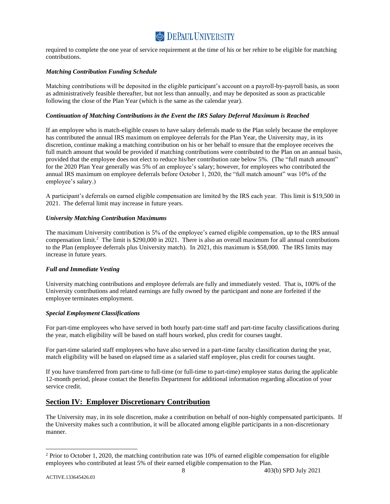required to complete the one year of service requirement at the time of his or her rehire to be eligible for matching contributions.

#### <span id="page-10-0"></span>*Matching Contribution Funding Schedule*

Matching contributions will be deposited in the eligible participant's account on a payroll-by-payroll basis, as soon as administratively feasible thereafter, but not less than annually, and may be deposited as soon as practicable following the close of the Plan Year (which is the same as the calendar year).

#### <span id="page-10-1"></span>*Continuation of Matching Contributions in the Event the IRS Salary Deferral Maximum is Reached*

If an employee who is match-eligible ceases to have salary deferrals made to the Plan solely because the employee has contributed the annual IRS maximum on employee deferrals for the Plan Year, the University may, in its discretion, continue making a matching contribution on his or her behalf to ensure that the employee receives the full match amount that would be provided if matching contributions were contributed to the Plan on an annual basis, provided that the employee does not elect to reduce his/her contribution rate below 5%. (The "full match amount" for the 2020 Plan Year generally was 5% of an employee's salary; however, for employees who contributed the annual IRS maximum on employee deferrals before October 1, 2020, the "full match amount" was 10% of the employee's salary.)

A participant's deferrals on earned eligible compensation are limited by the IRS each year. This limit is \$19,500 in 2021. The deferral limit may increase in future years.

#### <span id="page-10-2"></span>*University Matching Contribution Maximums*

The maximum University contribution is 5% of the employee's earned eligible compensation, up to the IRS annual compensation limit.<sup>2</sup> The limit is \$290,000 in 2021. There is also an overall maximum for all annual contributions to the Plan (employee deferrals plus University match). In 2021, this maximum is \$58,000. The IRS limits may increase in future years.

#### <span id="page-10-3"></span>*Full and Immediate Vesting*

University matching contributions and employee deferrals are fully and immediately vested. That is, 100% of the University contributions and related earnings are fully owned by the participant and none are forfeited if the employee terminates employment.

#### <span id="page-10-4"></span>*Special Employment Classifications*

For part-time employees who have served in both hourly part-time staff and part-time faculty classifications during the year, match eligibility will be based on staff hours worked, plus credit for courses taught*.* 

For part-time salaried staff employees who have also served in a part-time faculty classification during the year, match eligibility will be based on elapsed time as a salaried staff employee, plus credit for courses taught.

If you have transferred from part-time to full-time (or full-time to part-time) employee status during the applicable 12-month period, please contact the Benefits Department for additional information regarding allocation of your service credit.

### <span id="page-10-5"></span>**Section IV: Employer Discretionary Contribution**

The University may, in its sole discretion, make a contribution on behalf of non-highly compensated participants. If the University makes such a contribution, it will be allocated among eligible participants in a non-discretionary manner.

 $2$  Prior to October 1, 2020, the matching contribution rate was 10% of earned eligible compensation for eligible employees who contributed at least 5% of their earned eligible compensation to the Plan.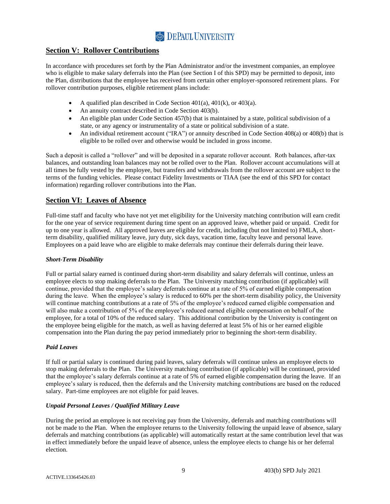### **Section V: Rollover Contributions**

In accordance with procedures set forth by the Plan Administrator and/or the investment companies, an employee who is eligible to make salary deferrals into the Plan (see Section I of this SPD) may be permitted to deposit, into the Plan, distributions that the employee has received from certain other employer-sponsored retirement plans. For rollover contribution purposes, eligible retirement plans include:

- <span id="page-11-0"></span>• A qualified plan described in Code Section  $401(a)$ ,  $401(k)$ , or  $403(a)$ .
- An annuity contract described in Code Section 403(b).
- An eligible plan under Code Section 457(b) that is maintained by a state, political subdivision of a state, or any agency or instrumentality of a state or political subdivision of a state.
- An individual retirement account ("IRA") or annuity described in Code Section 408(a) or 408(b) that is eligible to be rolled over and otherwise would be included in gross income.

Such a deposit is called a "rollover" and will be deposited in a separate rollover account. Roth balances, after-tax balances, and outstanding loan balances may not be rolled over to the Plan. Rollover account accumulations will at all times be fully vested by the employee, but transfers and withdrawals from the rollover account are subject to the terms of the funding vehicles. Please contact Fidelity Investments or TIAA (see the end of this SPD for contact information) regarding rollover contributions into the Plan.

### <span id="page-11-1"></span>**Section VI: Leaves of Absence**

Full-time staff and faculty who have not yet met eligibility for the University matching contribution will earn credit for the one year of service requirement during time spent on an approved leave, whether paid or unpaid. Credit for up to one year is allowed. All approved leaves are eligible for credit, including (but not limited to) FMLA, shortterm disability, qualified military leave, jury duty, sick days, vacation time, faculty leave and personal leave. Employees on a paid leave who are eligible to make deferrals may continue their deferrals during their leave.

#### <span id="page-11-2"></span>*Short-Term Disability*

Full or partial salary earned is continued during short-term disability and salary deferrals will continue, unless an employee elects to stop making deferrals to the Plan. The University matching contribution (if applicable) will continue, provided that the employee's salary deferrals continue at a rate of 5% of earned eligible compensation during the leave. When the employee's salary is reduced to 60% per the short-term disability policy, the University will continue matching contributions at a rate of 5% of the employee's reduced earned eligible compensation and will also make a contribution of 5% of the employee's reduced earned eligible compensation on behalf of the employee, for a total of 10% of the reduced salary. This additional contribution by the University is contingent on the employee being eligible for the match, as well as having deferred at least 5% of his or her earned eligible compensation into the Plan during the pay period immediately prior to beginning the short-term disability.

#### <span id="page-11-3"></span>*Paid Leaves*

If full or partial salary is continued during paid leaves, salary deferrals will continue unless an employee elects to stop making deferrals to the Plan. The University matching contribution (if applicable) will be continued, provided that the employee's salary deferrals continue at a rate of 5% of earned eligible compensation during the leave. If an employee's salary is reduced, then the deferrals and the University matching contributions are based on the reduced salary. Part-time employees are not eligible for paid leaves.

#### <span id="page-11-4"></span>*Unpaid Personal Leaves / Qualified Military Leave*

During the period an employee is not receiving pay from the University, deferrals and matching contributions will not be made to the Plan. When the employee returns to the University following the unpaid leave of absence, salary deferrals and matching contributions (as applicable) will automatically restart at the same contribution level that was in effect immediately before the unpaid leave of absence, unless the employee elects to change his or her deferral election.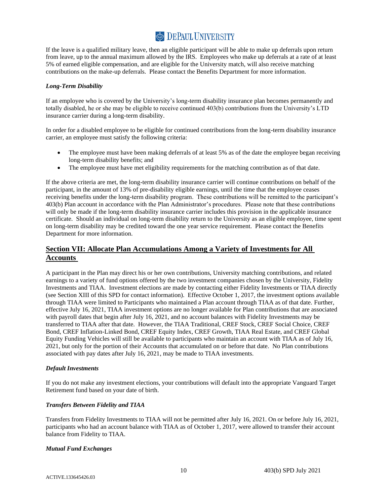If the leave is a qualified military leave, then an eligible participant will be able to make up deferrals upon return from leave, up to the annual maximum allowed by the IRS. Employees who make up deferrals at a rate of at least 5% of earned eligible compensation, and are eligible for the University match, will also receive matching contributions on the make-up deferrals. Please contact the Benefits Department for more information.

#### <span id="page-12-0"></span>*Long-Term Disability*

If an employee who is covered by the University's long-term disability insurance plan becomes permanently and totally disabled, he or she may be eligible to receive continued 403(b) contributions from the University's LTD insurance carrier during a long-term disability.

In order for a disabled employee to be eligible for continued contributions from the long-term disability insurance carrier, an employee must satisfy the following criteria:

- The employee must have been making deferrals of at least 5% as of the date the employee began receiving long-term disability benefits; and
- The employee must have met eligibility requirements for the matching contribution as of that date.

If the above criteria are met, the long-term disability insurance carrier will continue contributions on behalf of the participant, in the amount of 13% of pre-disability eligible earnings, until the time that the employee ceases receiving benefits under the long-term disability program. These contributions will be remitted to the participant's 403(b) Plan account in accordance with the Plan Administrator's procedures. Please note that these contributions will only be made if the long-term disability insurance carrier includes this provision in the applicable insurance certificate. Should an individual on long-term disability return to the University as an eligible employee, time spent on long-term disability may be credited toward the one year service requirement. Please contact the Benefits Department for more information.

### <span id="page-12-1"></span>**Section VII: Allocate Plan Accumulations Among a Variety of Investments for All Accounts**

A participant in the Plan may direct his or her own contributions, University matching contributions, and related earnings to a variety of fund options offered by the two investment companies chosen by the University, Fidelity Investments and TIAA. Investment elections are made by contacting either Fidelity Investments or TIAA directly (see Section XIII of this SPD for contact information). Effective October 1, 2017, the investment options available through TIAA were limited to Participants who maintained a Plan account through TIAA as of that date. Further, effective July 16, 2021, TIAA investment options are no longer available for Plan contributions that are associated with payroll dates that begin after July 16, 2021, and no account balances with Fidelity Investments may be transferred to TIAA after that date. However, the TIAA Traditional, CREF Stock, CREF Social Choice, CREF Bond, CREF Inflation-Linked Bond, CREF Equity Index, CREF Growth, TIAA Real Estate, and CREF Global Equity Funding Vehicles will still be available to participants who maintain an account with TIAA as of July 16, 2021, but only for the portion of their Accounts that accumulated on or before that date. No Plan contributions associated with pay dates after July 16, 2021, may be made to TIAA investments.

#### <span id="page-12-2"></span>*Default Investments*

If you do not make any investment elections, your contributions will default into the appropriate Vanguard Target Retirement fund based on your date of birth.

#### <span id="page-12-3"></span>*Transfers Between Fidelity and TIAA*

Transfers from Fidelity Investments to TIAA will not be permitted after July 16, 2021. On or before July 16, 2021, participants who had an account balance with TIAA as of October 1, 2017, were allowed to transfer their account balance from Fidelity to TIAA.

#### <span id="page-12-4"></span>*Mutual Fund Exchanges*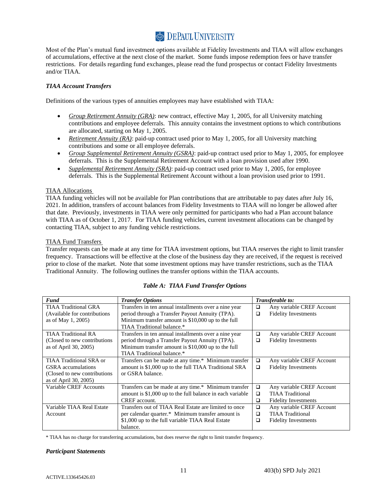Most of the Plan's mutual fund investment options available at Fidelity Investments and TIAA will allow exchanges of accumulations, effective at the next close of the market. Some funds impose redemption fees or have transfer restrictions. For details regarding fund exchanges, please read the fund prospectus or contact Fidelity Investments and/or TIAA.

### *TIAA Account Transfers*

Definitions of the various types of annuities employees may have established with TIAA:

- <span id="page-13-0"></span>• *Group Retirement Annuity (GRA)*: new contract, effective May 1, 2005, for all University matching contributions and employee deferrals. This annuity contains the investment options to which contributions are allocated, starting on May 1, 2005.
- *Retirement Annuity (RA)*: paid-up contract used prior to May 1, 2005, for all University matching contributions and some or all employee deferrals.
- *Group Supplemental Retirement Annuity (GSRA)*: paid-up contract used prior to May 1, 2005, for employee deferrals. This is the Supplemental Retirement Account with a loan provision used after 1990.
- *Supplemental Retirement Annuity (SRA)*: paid-up contract used prior to May 1, 2005, for employee deferrals. This is the Supplemental Retirement Account without a loan provision used prior to 1991.

#### TIAA Allocations

TIAA funding vehicles will not be available for Plan contributions that are attributable to pay dates after July 16, 2021. In addition, transfers of account balances from Fidelity Investments to TIAA will no longer be allowed after that date. Previously, investments in TIAA were only permitted for participants who had a Plan account balance with TIAA as of October 1, 2017. For TIAA funding vehicles, current investment allocations can be changed by contacting TIAA, subject to any funding vehicle restrictions.

#### TIAA Fund Transfers

Transfer requests can be made at any time for TIAA investment options, but TIAA reserves the right to limit transfer frequency. Transactions will be effective at the close of the business day they are received, if the request is received prior to close of the market. Note that some investment options may have transfer restrictions, such as the TIAA Traditional Annuity. The following outlines the transfer options within the TIAA accounts.

| <b>Fund</b>                   | <b>Transfer Options</b>                                   |        | Transferable to:            |
|-------------------------------|-----------------------------------------------------------|--------|-----------------------------|
| TIAA Traditional GRA          | Transfers in ten annual installments over a nine year     | ❏      | Any variable CREF Account   |
| (Available for contributions) | period through a Transfer Payout Annuity (TPA).           | □      | <b>Fidelity Investments</b> |
| as of May 1, 2005)            | Minimum transfer amount is \$10,000 up to the full        |        |                             |
|                               | TIAA Traditional balance.*                                |        |                             |
| <b>TIAA Traditional RA</b>    | Transfers in ten annual installments over a nine year     | ❏      | Any variable CREF Account   |
| (Closed to new contributions) | period through a Transfer Payout Annuity (TPA).           | □      | <b>Fidelity Investments</b> |
| as of April 30, 2005)         | Minimum transfer amount is \$10,000 up to the full        |        |                             |
|                               | TIAA Traditional balance.*                                |        |                             |
| TIAA Traditional SRA or       | Transfers can be made at any time.* Minimum transfer      | $\Box$ | Any variable CREF Account   |
| <b>GSRA</b> accumulations     | amount is \$1,000 up to the full TIAA Traditional SRA     | ❏      | <b>Fidelity Investments</b> |
| (Closed to new contributions) | or GSRA balance.                                          |        |                             |
| as of April 30, 2005)         |                                                           |        |                             |
| Variable CREF Accounts        | Transfers can be made at any time.* Minimum transfer      | □      | Any variable CREF Account   |
|                               | amount is \$1,000 up to the full balance in each variable | □      | <b>TIAA</b> Traditional     |
|                               | <b>CREF</b> account.                                      | □      | <b>Fidelity Investments</b> |
| Variable TIAA Real Estate     | Transfers out of TIAA Real Estate are limited to once     | $\Box$ | Any variable CREF Account   |
| Account                       | per calendar quarter.* Minimum transfer amount is         | $\Box$ | <b>TIAA</b> Traditional     |
|                               | \$1,000 up to the full variable TIAA Real Estate          | □      | <b>Fidelity Investments</b> |
|                               | balance.                                                  |        |                             |

#### *Table A: TIAA Fund Transfer Options*

\* TIAA has no charge for transferring accumulations, but does reserve the right to limit transfer frequency.

#### <span id="page-13-1"></span>*Participant Statements*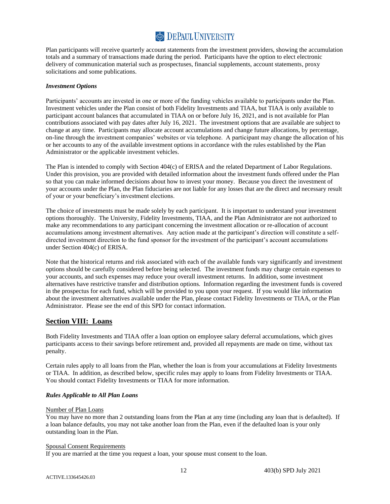Plan participants will receive quarterly account statements from the investment providers, showing the accumulation totals and a summary of transactions made during the period. Participants have the option to elect electronic delivery of communication material such as prospectuses, financial supplements, account statements, proxy solicitations and some publications.

#### <span id="page-14-0"></span>*Investment Options*

Participants' accounts are invested in one or more of the funding vehicles available to participants under the Plan. Investment vehicles under the Plan consist of both Fidelity Investments and TIAA, but TIAA is only available to participant account balances that accumulated in TIAA on or before July 16, 2021, and is not available for Plan contributions associated with pay dates after July 16, 2021. The investment options that are available are subject to change at any time. Participants may allocate account accumulations and change future allocations, by percentage, on-line through the investment companies' websites or via telephone. A participant may change the allocation of his or her accounts to any of the available investment options in accordance with the rules established by the Plan Administrator or the applicable investment vehicles.

The Plan is intended to comply with Section 404(c) of ERISA and the related Department of Labor Regulations. Under this provision, you are provided with detailed information about the investment funds offered under the Plan so that you can make informed decisions about how to invest your money. Because you direct the investment of your accounts under the Plan, the Plan fiduciaries are not liable for any losses that are the direct and necessary result of your or your beneficiary's investment elections.

The choice of investments must be made solely by each participant. It is important to understand your investment options thoroughly. The University, Fidelity Investments, TIAA, and the Plan Administrator are not authorized to make any recommendations to any participant concerning the investment allocation or re-allocation of account accumulations among investment alternatives. Any action made at the participant's direction will constitute a selfdirected investment direction to the fund sponsor for the investment of the participant's account accumulations under Section 404(c) of ERISA.

Note that the historical returns and risk associated with each of the available funds vary significantly and investment options should be carefully considered before being selected. The investment funds may charge certain expenses to your accounts, and such expenses may reduce your overall investment returns. In addition, some investment alternatives have restrictive transfer and distribution options. Information regarding the investment funds is covered in the prospectus for each fund, which will be provided to you upon your request. If you would like information about the investment alternatives available under the Plan, please contact Fidelity Investments or TIAA, or the Plan Administrator. Please see the end of this SPD for contact information.

### <span id="page-14-1"></span>**Section VIII: Loans**

Both Fidelity Investments and TIAA offer a loan option on employee salary deferral accumulations, which gives participants access to their savings before retirement and, provided all repayments are made on time, without tax penalty.

Certain rules apply to all loans from the Plan, whether the loan is from your accumulations at Fidelity Investments or TIAA. In addition, as described below, specific rules may apply to loans from Fidelity Investments or TIAA. You should contact Fidelity Investments or TIAA for more information.

#### <span id="page-14-2"></span>*Rules Applicable to All Plan Loans*

#### Number of Plan Loans

You may have no more than 2 outstanding loans from the Plan at any time (including any loan that is defaulted). If a loan balance defaults, you may not take another loan from the Plan, even if the defaulted loan is your only outstanding loan in the Plan.

#### Spousal Consent Requirements

If you are married at the time you request a loan, your spouse must consent to the loan.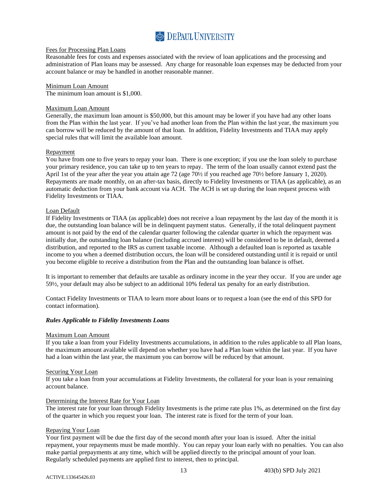

#### Fees for Processing Plan Loans

Reasonable fees for costs and expenses associated with the review of loan applications and the processing and administration of Plan loans may be assessed. Any charge for reasonable loan expenses may be deducted from your account balance or may be handled in another reasonable manner.

#### Minimum Loan Amount

The minimum loan amount is \$1,000.

#### Maximum Loan Amount

Generally, the maximum loan amount is \$50,000, but this amount may be lower if you have had any other loans from the Plan within the last year. If you've had another loan from the Plan within the last year, the maximum you can borrow will be reduced by the amount of that loan. In addition, Fidelity Investments and TIAA may apply special rules that will limit the available loan amount.

#### Repayment

You have from one to five years to repay your loan. There is one exception; if you use the loan solely to purchase your primary residence, you can take up to ten years to repay. The term of the loan usually cannot extend past the April 1st of the year after the year you attain age 72 (age 70½ if you reached age 70½ before January 1, 2020). Repayments are made monthly, on an after-tax basis, directly to Fidelity Investments or TIAA (as applicable), as an automatic deduction from your bank account via ACH. The ACH is set up during the loan request process with Fidelity Investments or TIAA.

#### Loan Default

If Fidelity Investments or TIAA (as applicable) does not receive a loan repayment by the last day of the month it is due, the outstanding loan balance will be in delinquent payment status. Generally, if the total delinquent payment amount is not paid by the end of the calendar quarter following the calendar quarter in which the repayment was initially due, the outstanding loan balance (including accrued interest) will be considered to be in default, deemed a distribution, and reported to the IRS as current taxable income. Although a defaulted loan is reported as taxable income to you when a deemed distribution occurs, the loan will be considered outstanding until it is repaid or until you become eligible to receive a distribution from the Plan and the outstanding loan balance is offset.

It is important to remember that defaults are taxable as ordinary income in the year they occur. If you are under age 59½, your default may also be subject to an additional 10% federal tax penalty for an early distribution.

Contact Fidelity Investments or TIAA to learn more about loans or to request a loan (see the end of this SPD for contact information).

#### <span id="page-15-0"></span>*Rules Applicable to Fidelity Investments Loans*

#### Maximum Loan Amount

If you take a loan from your Fidelity Investments accumulations, in addition to the rules applicable to all Plan loans, the maximum amount available will depend on whether you have had a Plan loan within the last year. If you have had a loan within the last year, the maximum you can borrow will be reduced by that amount.

#### Securing Your Loan

If you take a loan from your accumulations at Fidelity Investments, the collateral for your loan is your remaining account balance.

#### Determining the Interest Rate for Your Loan

The interest rate for your loan through Fidelity Investments is the prime rate plus 1%, as determined on the first day of the quarter in which you request your loan. The interest rate is fixed for the term of your loan.

#### Repaying Your Loan

Your first payment will be due the first day of the second month after your loan is issued. After the initial repayment, your repayments must be made monthly. You can repay your loan early with no penalties. You can also make partial prepayments at any time, which will be applied directly to the principal amount of your loan. Regularly scheduled payments are applied first to interest, then to principal.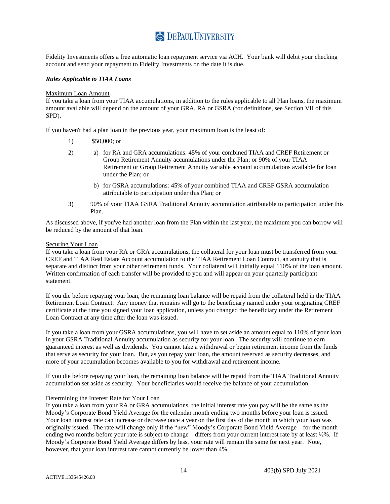Fidelity Investments offers a free automatic loan repayment service via ACH. Your bank will debit your checking account and send your repayment to Fidelity Investments on the date it is due.

#### <span id="page-16-0"></span>*Rules Applicable to TIAA Loans*

#### Maximum Loan Amount

If you take a loan from your TIAA accumulations, in addition to the rules applicable to all Plan loans, the maximum amount available will depend on the amount of your GRA, RA or GSRA (for definitions, see Section VII of this SPD).

If you haven't had a plan loan in the previous year, your maximum loan is the least of:

- 1) \$50,000; or
- 2) a) for RA and GRA accumulations: 45% of your combined TIAA and CREF Retirement or Group Retirement Annuity accumulations under the Plan; or 90% of your TIAA Retirement or Group Retirement Annuity variable account accumulations available for loan under the Plan; or
	- b) for GSRA accumulations: 45% of your combined TIAA and CREF GSRA accumulation attributable to participation under this Plan; or
- 3) 90% of your TIAA GSRA Traditional Annuity accumulation attributable to participation under this Plan.

As discussed above, if you've had another loan from the Plan within the last year, the maximum you can borrow will be reduced by the amount of that loan.

#### Securing Your Loan

If you take a loan from your RA or GRA accumulations, the collateral for your loan must be transferred from your CREF and TIAA Real Estate Account accumulation to the TIAA Retirement Loan Contract, an annuity that is separate and distinct from your other retirement funds. Your collateral will initially equal 110% of the loan amount. Written confirmation of each transfer will be provided to you and will appear on your quarterly participant statement.

If you die before repaying your loan, the remaining loan balance will be repaid from the collateral held in the TIAA Retirement Loan Contract. Any money that remains will go to the beneficiary named under your originating CREF certificate at the time you signed your loan application, unless you changed the beneficiary under the Retirement Loan Contract at any time after the loan was issued.

If you take a loan from your GSRA accumulations, you will have to set aside an amount equal to 110% of your loan in your GSRA Traditional Annuity accumulation as security for your loan. The security will continue to earn guaranteed interest as well as dividends. You cannot take a withdrawal or begin retirement income from the funds that serve as security for your loan. But, as you repay your loan, the amount reserved as security decreases, and more of your accumulation becomes available to you for withdrawal and retirement income.

If you die before repaying your loan, the remaining loan balance will be repaid from the TIAA Traditional Annuity accumulation set aside as security. Your beneficiaries would receive the balance of your accumulation.

#### Determining the Interest Rate for Your Loan

If you take a loan from your RA or GRA accumulations, the initial interest rate you pay will be the same as the Moody's Corporate Bond Yield Average for the calendar month ending two months before your loan is issued. Your loan interest rate can increase or decrease once a year on the first day of the month in which your loan was originally issued. The rate will change only if the "new" Moody's Corporate Bond Yield Average – for the month ending two months before your rate is subject to change – differs from your current interest rate by at least ½%. If Moody's Corporate Bond Yield Average differs by less, your rate will remain the same for next year. Note, however, that your loan interest rate cannot currently be lower than 4%.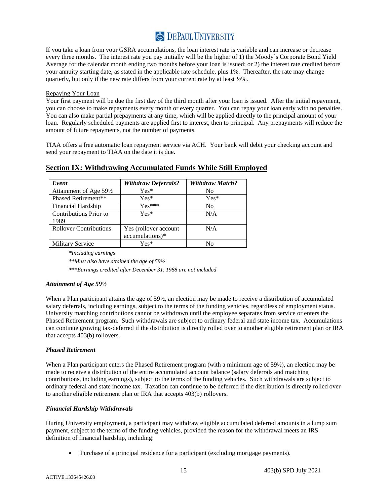If you take a loan from your GSRA accumulations, the loan interest rate is variable and can increase or decrease every three months. The interest rate you pay initially will be the higher of 1) the Moody's Corporate Bond Yield Average for the calendar month ending two months before your loan is issued; or 2) the interest rate credited before your annuity starting date, as stated in the applicable rate schedule, plus 1%. Thereafter, the rate may change quarterly, but only if the new rate differs from your current rate by at least ½%.

#### Repaying Your Loan

Your first payment will be due the first day of the third month after your loan is issued. After the initial repayment, you can choose to make repayments every month or every quarter. You can repay your loan early with no penalties. You can also make partial prepayments at any time, which will be applied directly to the principal amount of your loan. Regularly scheduled payments are applied first to interest, then to principal. Any prepayments will reduce the amount of future repayments, not the number of payments.

TIAA offers a free automatic loan repayment service via ACH. Your bank will debit your checking account and send your repayment to TIAA on the date it is due.

| Event                          | <b>Withdraw Deferrals?</b>               | <b>Withdraw Match?</b> |
|--------------------------------|------------------------------------------|------------------------|
| Attainment of Age 591/2        | $Yes*$                                   | No                     |
| Phased Retirement**            | $Yes*$                                   | $Yes*$                 |
| Financial Hardship             | $Yes***$                                 | N <sub>0</sub>         |
| Contributions Prior to<br>1989 | $Yes*$                                   | N/A                    |
| <b>Rollover Contributions</b>  | Yes (rollover account<br>accumulations)* | N/A                    |
| <b>Military Service</b>        | $Yes*$                                   | N٥                     |

### **Section IX: Withdrawing Accumulated Funds While Still Employed**

<span id="page-17-0"></span>*\*Including earnings*

*\*\*Must also have attained the age of 59½* 

<span id="page-17-1"></span>*\*\*\*Earnings credited after December 31, 1988 are not included*

#### *Attainment of Age 59½*

When a Plan participant attains the age of 59½, an election may be made to receive a distribution of accumulated salary deferrals, including earnings, subject to the terms of the funding vehicles, regardless of employment status. University matching contributions cannot be withdrawn until the employee separates from service or enters the Phased Retirement program. Such withdrawals are subject to ordinary federal and state income tax. Accumulations can continue growing tax-deferred if the distribution is directly rolled over to another eligible retirement plan or IRA that accepts 403(b) rollovers.

#### <span id="page-17-2"></span>*Phased Retirement*

When a Plan participant enters the Phased Retirement program (with a minimum age of 59½), an election may be made to receive a distribution of the entire accumulated account balance (salary deferrals and matching contributions, including earnings), subject to the terms of the funding vehicles. Such withdrawals are subject to ordinary federal and state income tax. Taxation can continue to be deferred if the distribution is directly rolled over to another eligible retirement plan or IRA that accepts 403(b) rollovers.

#### *Financial Hardship Withdrawals*

During University employment, a participant may withdraw eligible accumulated deferred amounts in a lump sum payment, subject to the terms of the funding vehicles, provided the reason for the withdrawal meets an IRS definition of financial hardship, including:

<span id="page-17-3"></span>• Purchase of a principal residence for a participant (excluding mortgage payments).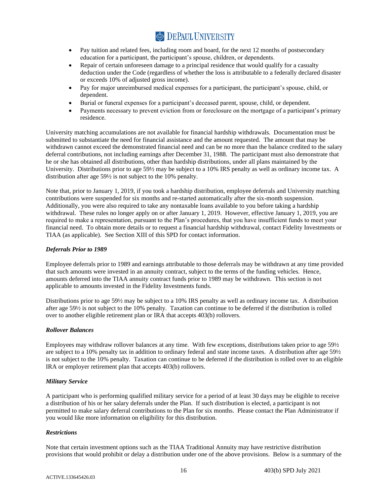- Pay tuition and related fees, including room and board, for the next 12 months of postsecondary education for a participant, the participant's spouse, children, or dependents.
- Repair of certain unforeseen damage to a principal residence that would qualify for a casualty deduction under the Code (regardless of whether the loss is attributable to a federally declared disaster or exceeds 10% of adjusted gross income).
- Pay for major unreimbursed medical expenses for a participant, the participant's spouse, child, or dependent.
- Burial or funeral expenses for a participant's deceased parent, spouse, child, or dependent.
- Payments necessary to prevent eviction from or foreclosure on the mortgage of a participant's primary residence.

University matching accumulations are not available for financial hardship withdrawals. Documentation must be submitted to substantiate the need for financial assistance and the amount requested. The amount that may be withdrawn cannot exceed the demonstrated financial need and can be no more than the balance credited to the salary deferral contributions, not including earnings after December 31, 1988. The participant must also demonstrate that he or she has obtained all distributions, other than hardship distributions, under all plans maintained by the University. Distributions prior to age 59<sup>1</sup>/<sub>2</sub> may be subject to a 10% IRS penalty as well as ordinary income tax. A distribution after age 59½ is not subject to the 10% penalty.

Note that, prior to January 1, 2019, if you took a hardship distribution, employee deferrals and University matching contributions were suspended for six months and re-started automatically after the six-month suspension. Additionally, you were also required to take any nontaxable loans available to you before taking a hardship withdrawal. These rules no longer apply on or after January 1, 2019. However, effective January 1, 2019, you are required to make a representation, pursuant to the Plan's procedures, that you have insufficient funds to meet your financial need. To obtain more details or to request a financial hardship withdrawal, contact Fidelity Investments or TIAA (as applicable). See Section XIII of this SPD for contact information.

### <span id="page-18-0"></span>*Deferrals Prior to 1989*

Employee deferrals prior to 1989 and earnings attributable to those deferrals may be withdrawn at any time provided that such amounts were invested in an annuity contract, subject to the terms of the funding vehicles. Hence, amounts deferred into the TIAA annuity contract funds prior to 1989 may be withdrawn. This section is not applicable to amounts invested in the Fidelity Investments funds.

Distributions prior to age 59½ may be subject to a 10% IRS penalty as well as ordinary income tax. A distribution after age 59½ is not subject to the 10% penalty. Taxation can continue to be deferred if the distribution is rolled over to another eligible retirement plan or IRA that accepts 403(b) rollovers.

#### <span id="page-18-1"></span>*Rollover Balances*

Employees may withdraw rollover balances at any time. With few exceptions, distributions taken prior to age 59½ are subject to a 10% penalty tax in addition to ordinary federal and state income taxes. A distribution after age 59½ is not subject to the 10% penalty. Taxation can continue to be deferred if the distribution is rolled over to an eligible IRA or employer retirement plan that accepts 403(b) rollovers.

#### <span id="page-18-2"></span>*Military Service*

A participant who is performing qualified military service for a period of at least 30 days may be eligible to receive a distribution of his or her salary deferrals under the Plan. If such distribution is elected, a participant is not permitted to make salary deferral contributions to the Plan for six months. Please contact the Plan Administrator if you would like more information on eligibility for this distribution.

#### <span id="page-18-3"></span>*Restrictions*

Note that certain investment options such as the TIAA Traditional Annuity may have restrictive distribution provisions that would prohibit or delay a distribution under one of the above provisions. Below is a summary of the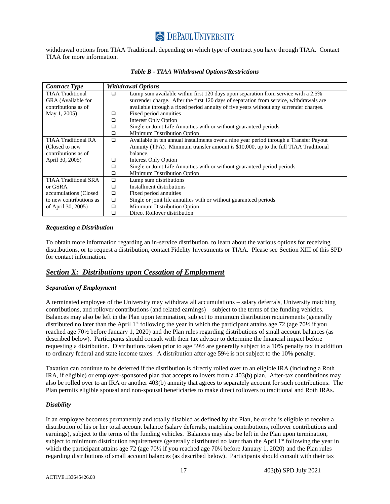withdrawal options from TIAA Traditional, depending on which type of contract you have through TIAA. Contact TIAA for more information.

| <b>Contract Type</b>        |        | <b>Withdrawal Options</b>                                                              |
|-----------------------------|--------|----------------------------------------------------------------------------------------|
| <b>TIAA</b> Traditional     | □      | Lump sum available within first 120 days upon separation from service with a 2.5%      |
| GRA (Available for          |        | surrender charge. After the first 120 days of separation from service, withdrawals are |
| contributions as of         |        | available through a fixed period annuity of five years without any surrender charges.  |
| May 1, 2005)                | ◻      | Fixed period annuities                                                                 |
|                             | □      | <b>Interest Only Option</b>                                                            |
|                             | $\Box$ | Single or Joint Life Annuities with or without guaranteed periods                      |
|                             | □      | Minimum Distribution Option                                                            |
| <b>TIAA Traditional RA</b>  | □      | Available in ten annual installments over a nine year period through a Transfer Payout |
| (Closed to new              |        | Annuity (TPA). Minimum transfer amount is \$10,000, up to the full TIAA Traditional    |
| contributions as of         |        | balance.                                                                               |
| April 30, 2005)             | ◻      | Interest Only Option                                                                   |
|                             | □      | Single or Joint Life Annuities with or without guaranteed period periods               |
|                             | □      | Minimum Distribution Option                                                            |
| <b>TIAA Traditional SRA</b> | □      | Lump sum distributions                                                                 |
| or GSRA                     | ◻      | Installment distributions                                                              |
| accumulations (Closed       | □      | Fixed period annuities                                                                 |
| to new contributions as     | $\Box$ | Single or joint life annuities with or without guaranteed periods                      |
| of April 30, 2005)          | ◻      | Minimum Distribution Option                                                            |
|                             |        | Direct Rollover distribution                                                           |

#### *Table B - TIAA Withdrawal Options/Restrictions*

#### <span id="page-19-0"></span>*Requesting a Distribution*

To obtain more information regarding an in-service distribution, to learn about the various options for receiving distributions, or to request a distribution, contact Fidelity Investments or TIAA. Please see Section XIII of this SPD for contact information.

### <span id="page-19-1"></span>*Section X: Distributions upon Cessation of Employment*

#### <span id="page-19-2"></span>*Separation of Employment*

A terminated employee of the University may withdraw all accumulations – salary deferrals, University matching contributions, and rollover contributions (and related earnings) – subject to the terms of the funding vehicles. Balances may also be left in the Plan upon termination, subject to minimum distribution requirements (generally distributed no later than the April 1<sup>st</sup> following the year in which the participant attains age 72 (age 70 $\frac{1}{2}$  if you reached age 70½ before January 1, 2020) and the Plan rules regarding distributions of small account balances (as described below). Participants should consult with their tax advisor to determine the financial impact before requesting a distribution. Distributions taken prior to age 59½ are generally subject to a 10% penalty tax in addition to ordinary federal and state income taxes. A distribution after age 59½ is not subject to the 10% penalty.

Taxation can continue to be deferred if the distribution is directly rolled over to an eligible IRA (including a Roth IRA, if eligible) or employer-sponsored plan that accepts rollovers from a 403(b) plan. After-tax contributions may also be rolled over to an IRA or another 403(b) annuity that agrees to separately account for such contributions. The Plan permits eligible spousal and non-spousal beneficiaries to make direct rollovers to traditional and Roth IRAs.

#### <span id="page-19-3"></span>*Disability*

If an employee becomes permanently and totally disabled as defined by the Plan, he or she is eligible to receive a distribution of his or her total account balance (salary deferrals, matching contributions, rollover contributions and earnings), subject to the terms of the funding vehicles. Balances may also be left in the Plan upon termination, subject to minimum distribution requirements (generally distributed no later than the April 1<sup>st</sup> following the year in which the participant attains age 72 (age 70½ if you reached age 70½ before January 1, 2020) and the Plan rules regarding distributions of small account balances (as described below). Participants should consult with their tax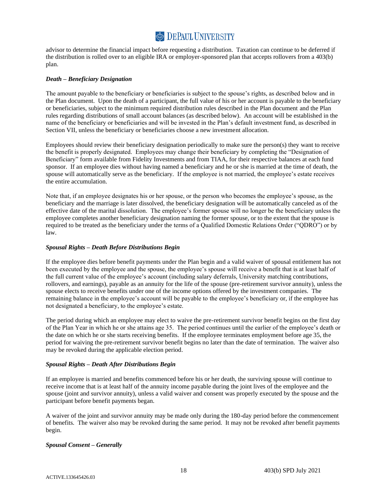advisor to determine the financial impact before requesting a distribution. Taxation can continue to be deferred if the distribution is rolled over to an eligible IRA or employer-sponsored plan that accepts rollovers from a 403(b) plan.

#### <span id="page-20-0"></span>*Death – Beneficiary Designation*

The amount payable to the beneficiary or beneficiaries is subject to the spouse's rights, as described below and in the Plan document. Upon the death of a participant, the full value of his or her account is payable to the beneficiary or beneficiaries, subject to the minimum required distribution rules described in the Plan document and the Plan rules regarding distributions of small account balances (as described below). An account will be established in the name of the beneficiary or beneficiaries and will be invested in the Plan's default investment fund, as described in Section VII, unless the beneficiary or beneficiaries choose a new investment allocation.

Employees should review their beneficiary designation periodically to make sure the person(s) they want to receive the benefit is properly designated. Employees may change their beneficiary by completing the "Designation of Beneficiary" form available from Fidelity Investments and from TIAA, for their respective balances at each fund sponsor. If an employee dies without having named a beneficiary and he or she is married at the time of death, the spouse will automatically serve as the beneficiary. If the employee is not married, the employee's estate receives the entire accumulation.

Note that, if an employee designates his or her spouse, or the person who becomes the employee's spouse, as the beneficiary and the marriage is later dissolved, the beneficiary designation will be automatically canceled as of the effective date of the marital dissolution. The employee's former spouse will no longer be the beneficiary unless the employee completes another beneficiary designation naming the former spouse, or to the extent that the spouse is required to be treated as the beneficiary under the terms of a Qualified Domestic Relations Order ("QDRO") or by law.

#### <span id="page-20-1"></span>*Spousal Rights – Death Before Distributions Begin*

If the employee dies before benefit payments under the Plan begin and a valid waiver of spousal entitlement has not been executed by the employee and the spouse, the employee's spouse will receive a benefit that is at least half of the full current value of the employee's account (including salary deferrals, University matching contributions, rollovers, and earnings), payable as an annuity for the life of the spouse (pre-retirement survivor annuity), unless the spouse elects to receive benefits under one of the income options offered by the investment companies. The remaining balance in the employee's account will be payable to the employee's beneficiary or, if the employee has not designated a beneficiary, to the employee's estate.

The period during which an employee may elect to waive the pre-retirement survivor benefit begins on the first day of the Plan Year in which he or she attains age 35. The period continues until the earlier of the employee's death or the date on which he or she starts receiving benefits. If the employee terminates employment before age 35, the period for waiving the pre-retirement survivor benefit begins no later than the date of termination. The waiver also may be revoked during the applicable election period.

#### <span id="page-20-2"></span>*Spousal Rights – Death After Distributions Begin*

If an employee is married and benefits commenced before his or her death, the surviving spouse will continue to receive income that is at least half of the annuity income payable during the joint lives of the employee and the spouse (joint and survivor annuity), unless a valid waiver and consent was properly executed by the spouse and the participant before benefit payments began.

A waiver of the joint and survivor annuity may be made only during the 180-day period before the commencement of benefits. The waiver also may be revoked during the same period. It may not be revoked after benefit payments begin.

#### <span id="page-20-3"></span>*Spousal Consent – Generally*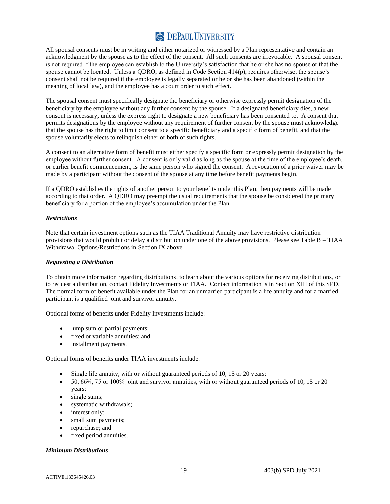All spousal consents must be in writing and either notarized or witnessed by a Plan representative and contain an acknowledgment by the spouse as to the effect of the consent. All such consents are irrevocable. A spousal consent is not required if the employee can establish to the University's satisfaction that he or she has no spouse or that the spouse cannot be located. Unless a QDRO, as defined in Code Section 414(p), requires otherwise, the spouse's consent shall not be required if the employee is legally separated or he or she has been abandoned (within the meaning of local law), and the employee has a court order to such effect.

The spousal consent must specifically designate the beneficiary or otherwise expressly permit designation of the beneficiary by the employee without any further consent by the spouse. If a designated beneficiary dies, a new consent is necessary, unless the express right to designate a new beneficiary has been consented to. A consent that permits designations by the employee without any requirement of further consent by the spouse must acknowledge that the spouse has the right to limit consent to a specific beneficiary and a specific form of benefit, and that the spouse voluntarily elects to relinquish either or both of such rights.

A consent to an alternative form of benefit must either specify a specific form or expressly permit designation by the employee without further consent. A consent is only valid as long as the spouse at the time of the employee's death, or earlier benefit commencement, is the same person who signed the consent. A revocation of a prior waiver may be made by a participant without the consent of the spouse at any time before benefit payments begin.

If a QDRO establishes the rights of another person to your benefits under this Plan, then payments will be made according to that order. A QDRO may preempt the usual requirements that the spouse be considered the primary beneficiary for a portion of the employee's accumulation under the Plan.

#### <span id="page-21-0"></span>*Restrictions*

Note that certain investment options such as the TIAA Traditional Annuity may have restrictive distribution provisions that would prohibit or delay a distribution under one of the above provisions. Please see Table B – TIAA Withdrawal Options/Restrictions in Section IX above.

#### <span id="page-21-1"></span>*Requesting a Distribution*

To obtain more information regarding distributions, to learn about the various options for receiving distributions, or to request a distribution, contact Fidelity Investments or TIAA. Contact information is in Section XIII of this SPD. The normal form of benefit available under the Plan for an unmarried participant is a life annuity and for a married participant is a qualified joint and survivor annuity.

Optional forms of benefits under Fidelity Investments include:

- lump sum or partial payments;
- fixed or variable annuities; and
- installment payments.

Optional forms of benefits under TIAA investments include:

- Single life annuity, with or without guaranteed periods of 10, 15 or 20 years;
- 50, 66⅔, 75 or 100% joint and survivor annuities, with or without guaranteed periods of 10, 15 or 20 years;
- single sums;
- systematic withdrawals;
- interest only;
- small sum payments;
- repurchase; and
- <span id="page-21-2"></span>fixed period annuities.

#### *Minimum Distributions*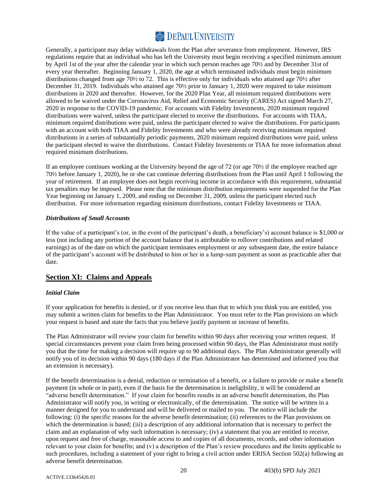Generally, a participant may delay withdrawals from the Plan after severance from employment. However, IRS regulations require that an individual who has left the University must begin receiving a specified minimum amount by April 1st of the year after the calendar year in which such person reaches age 70½ and by December 31st of every year thereafter. Beginning January 1, 2020, the age at which terminated individuals must begin minimum distributions changed from age 70½ to 72. This is effective only for individuals who attained age 70½ after December 31, 2019. Individuals who attained age 70½ prior to January 1, 2020 were required to take minimum distributions in 2020 and thereafter. However, for the 2020 Plan Year, all minimum required distributions were allowed to be waived under the Coronavirus Aid, Relief and Economic Security (CARES) Act signed March 27, 2020 in response to the COVID-19 pandemic. For accounts with Fidelity Investments, 2020 minimum required distributions were waived, unless the participant elected to receive the distributions. For accounts with TIAA, minimum required distributions were paid, unless the participant elected to waive the distributions. For participants with an account with both TIAA and Fidelity Investments and who were already receiving minimum required distributions in a series of substantially periodic payments, 2020 minimum required distributions were paid, unless the participant elected to waive the distributions. Contact Fidelity Investments or TIAA for more information about required minimum distributions.

If an employee continues working at the University beyond the age of 72 (or age 70½ if the employee reached age 70½ before January 1, 2020), he or she can continue deferring distributions from the Plan until April 1 following the year of retirement. If an employee does not begin receiving income in accordance with this requirement, substantial tax penalties may be imposed. Please note that the minimum distribution requirements were suspended for the Plan Year beginning on January 1, 2009, and ending on December 31, 2009, unless the participant elected such distribution. For more information regarding minimum distributions, contact Fidelity Investments or TIAA.

#### <span id="page-22-0"></span>*Distributions of Small Accounts*

If the value of a participant's (or, in the event of the participant's death, a beneficiary's) account balance is \$1,000 or less (not including any portion of the account balance that is attributable to rollover contributions and related earnings) as of the date on which the participant terminates employment or any subsequent date, the entire balance of the participant's account will be distributed to him or her in a lump-sum payment as soon as practicable after that date.

### <span id="page-22-1"></span>**Section XI: Claims and Appeals**

#### <span id="page-22-2"></span>*Initial Claim*

If your application for benefits is denied, or if you receive less than that to which you think you are entitled, you may submit a written claim for benefits to the Plan Administrator. You must refer to the Plan provisions on which your request is based and state the facts that you believe justify payment or increase of benefits.

The Plan Administrator will review your claim for benefits within 90 days after receiving your written request. If special circumstances prevent your claim from being processed within 90 days, the Plan Administrator must notify you that the time for making a decision will require up to 90 additional days. The Plan Administrator generally will notify you of its decision within 90 days (180 days if the Plan Administrator has determined and informed you that an extension is necessary).

If the benefit determination is a denial, reduction or termination of a benefit, or a failure to provide or make a benefit payment (in whole or in part), even if the basis for the determination is ineligibility, it will be considered an "adverse benefit determination." If your claim for benefits results in an adverse benefit determination, the Plan Administrator will notify you, in writing or electronically, of the determination. The notice will be written in a manner designed for you to understand and will be delivered or mailed to you. The notice will include the following: (i) the specific reasons for the adverse benefit determination; (ii) references to the Plan provisions on which the determination is based; (iii) a description of any additional information that is necessary to perfect the claim and an explanation of why such information is necessary; (iv) a statement that you are entitled to receive, upon request and free of charge, reasonable access to and copies of all documents, records, and other information relevant to your claim for benefits; and (v) a description of the Plan's review procedures and the limits applicable to such procedures, including a statement of your right to bring a civil action under ERISA Section 502(a) following an adverse benefit determination.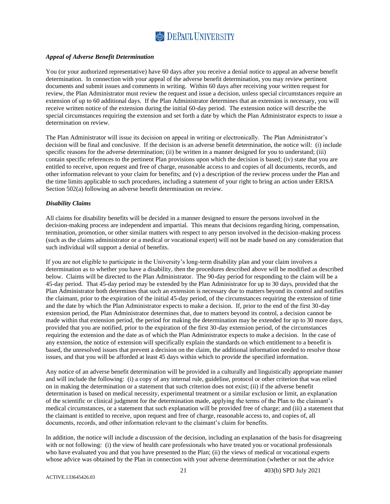#### <span id="page-23-0"></span>*Appeal of Adverse Benefit Determination*

You (or your authorized representative) have 60 days after you receive a denial notice to appeal an adverse benefit determination. In connection with your appeal of the adverse benefit determination, you may review pertinent documents and submit issues and comments in writing. Within 60 days after receiving your written request for review, the Plan Administrator must review the request and issue a decision, unless special circumstances require an extension of up to 60 additional days. If the Plan Administrator determines that an extension is necessary, you will receive written notice of the extension during the initial 60-day period. The extension notice will describe the special circumstances requiring the extension and set forth a date by which the Plan Administrator expects to issue a determination on review.

The Plan Administrator will issue its decision on appeal in writing or electronically. The Plan Administrator's decision will be final and conclusive. If the decision is an adverse benefit determination, the notice will: (i) include specific reasons for the adverse determination; (ii) be written in a manner designed for you to understand; (iii) contain specific references to the pertinent Plan provisions upon which the decision is based; (iv) state that you are entitled to receive, upon request and free of charge, reasonable access to and copies of all documents, records, and other information relevant to your claim for benefits; and (v) a description of the review process under the Plan and the time limits applicable to such procedures, including a statement of your right to bring an action under ERISA Section 502(a) following an adverse benefit determination on review.

#### <span id="page-23-1"></span>*Disability Claims*

All claims for disability benefits will be decided in a manner designed to ensure the persons involved in the decision-making process are independent and impartial. This means that decisions regarding hiring, compensation, termination, promotion, or other similar matters with respect to any person involved in the decision-making process (such as the claims administrator or a medical or vocational expert) will not be made based on any consideration that such individual will support a denial of benefits.

If you are not eligible to participate in the University's long-term disability plan and your claim involves a determination as to whether you have a disability, then the procedures described above will be modified as described below. Claims will be directed to the Plan Administrator. The 90-day period for responding to the claim will be a 45-day period. That 45-day period may be extended by the Plan Administrator for up to 30 days, provided that the Plan Administrator both determines that such an extension is necessary due to matters beyond its control and notifies the claimant, prior to the expiration of the initial 45-day period, of the circumstances requiring the extension of time and the date by which the Plan Administrator expects to make a decision. If, prior to the end of the first 30-day extension period, the Plan Administrator determines that, due to matters beyond its control, a decision cannot be made within that extension period, the period for making the determination may be extended for up to 30 more days, provided that you are notified, prior to the expiration of the first 30-day extension period, of the circumstances requiring the extension and the date as of which the Plan Administrator expects to make a decision. In the case of any extension, the notice of extension will specifically explain the standards on which entitlement to a benefit is based, the unresolved issues that prevent a decision on the claim, the additional information needed to resolve those issues, and that you will be afforded at least 45 days within which to provide the specified information.

Any notice of an adverse benefit determination will be provided in a culturally and linguistically appropriate manner and will include the following: (i) a copy of any internal rule, guideline, protocol or other criterion that was relied on in making the determination or a statement that such criterion does not exist; (ii) if the adverse benefit determination is based on medical necessity, experimental treatment or a similar exclusion or limit, an explanation of the scientific or clinical judgment for the determination made, applying the terms of the Plan to the claimant's medical circumstances, or a statement that such explanation will be provided free of charge; and (iii) a statement that the claimant is entitled to receive, upon request and free of charge, reasonable access to, and copies of, all documents, records, and other information relevant to the claimant's claim for benefits.

In addition, the notice will include a discussion of the decision, including an explanation of the basis for disagreeing with or not following: (i) the view of health care professionals who have treated you or vocational professionals who have evaluated you and that you have presented to the Plan; (ii) the views of medical or vocational experts whose advice was obtained by the Plan in connection with your adverse determination (whether or not the advice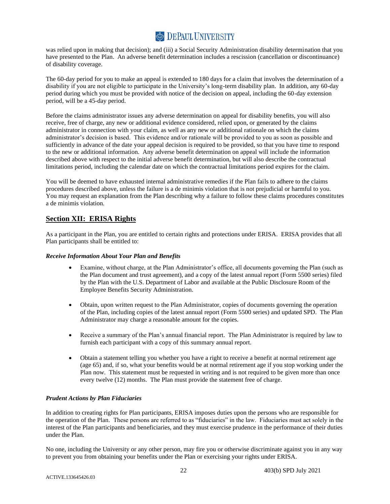was relied upon in making that decision); and (iii) a Social Security Administration disability determination that you have presented to the Plan. An adverse benefit determination includes a rescission (cancellation or discontinuance) of disability coverage.

The 60-day period for you to make an appeal is extended to 180 days for a claim that involves the determination of a disability if you are not eligible to participate in the University's long-term disability plan. In addition, any 60-day period during which you must be provided with notice of the decision on appeal, including the 60-day extension period, will be a 45-day period.

Before the claims administrator issues any adverse determination on appeal for disability benefits, you will also receive, free of charge, any new or additional evidence considered, relied upon, or generated by the claims administrator in connection with your claim, as well as any new or additional rationale on which the claims administrator's decision is based. This evidence and/or rationale will be provided to you as soon as possible and sufficiently in advance of the date your appeal decision is required to be provided, so that you have time to respond to the new or additional information. Any adverse benefit determination on appeal will include the information described above with respect to the initial adverse benefit determination, but will also describe the contractual limitations period, including the calendar date on which the contractual limitations period expires for the claim.

You will be deemed to have exhausted internal administrative remedies if the Plan fails to adhere to the claims procedures described above, unless the failure is a de minimis violation that is not prejudicial or harmful to you. You may request an explanation from the Plan describing why a failure to follow these claims procedures constitutes a de minimis violation.

### **Section XII: ERISA Rights**

As a participant in the Plan, you are entitled to certain rights and protections under ERISA. ERISA provides that all Plan participants shall be entitled to:

#### *Receive Information About Your Plan and Benefits*

- <span id="page-24-1"></span><span id="page-24-0"></span>• Examine, without charge, at the Plan Administrator's office, all documents governing the Plan (such as the Plan document and trust agreement), and a copy of the latest annual report (Form 5500 series) filed by the Plan with the U.S. Department of Labor and available at the Public Disclosure Room of the Employee Benefits Security Administration.
- Obtain, upon written request to the Plan Administrator, copies of documents governing the operation of the Plan, including copies of the latest annual report (Form 5500 series) and updated SPD. The Plan Administrator may charge a reasonable amount for the copies.
- Receive a summary of the Plan's annual financial report. The Plan Administrator is required by law to furnish each participant with a copy of this summary annual report.
- <span id="page-24-2"></span>• Obtain a statement telling you whether you have a right to receive a benefit at normal retirement age (age 65) and, if so, what your benefits would be at normal retirement age if you stop working under the Plan now. This statement must be requested in writing and is not required to be given more than once every twelve (12) months. The Plan must provide the statement free of charge.

### *Prudent Actions by Plan Fiduciaries*

In addition to creating rights for Plan participants, ERISA imposes duties upon the persons who are responsible for the operation of the Plan. These persons are referred to as "fiduciaries" in the law. Fiduciaries must act solely in the interest of the Plan participants and beneficiaries, and they must exercise prudence in the performance of their duties under the Plan.

No one, including the University or any other person, may fire you or otherwise discriminate against you in any way to prevent you from obtaining your benefits under the Plan or exercising your rights under ERISA.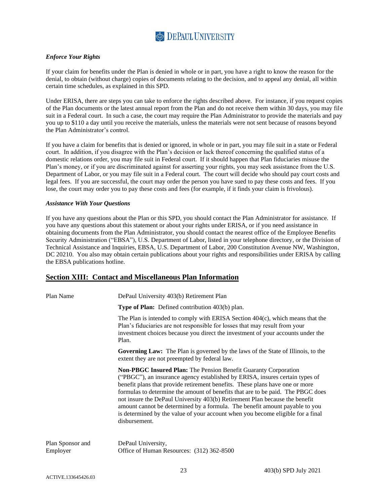#### <span id="page-25-0"></span>*Enforce Your Rights*

If your claim for benefits under the Plan is denied in whole or in part, you have a right to know the reason for the denial, to obtain (without charge) copies of documents relating to the decision, and to appeal any denial, all within certain time schedules, as explained in this SPD.

Under ERISA, there are steps you can take to enforce the rights described above. For instance, if you request copies of the Plan documents or the latest annual report from the Plan and do not receive them within 30 days, you may file suit in a Federal court. In such a case, the court may require the Plan Administrator to provide the materials and pay you up to \$110 a day until you receive the materials, unless the materials were not sent because of reasons beyond the Plan Administrator's control.

If you have a claim for benefits that is denied or ignored, in whole or in part, you may file suit in a state or Federal court. In addition, if you disagree with the Plan's decision or lack thereof concerning the qualified status of a domestic relations order, you may file suit in Federal court. If it should happen that Plan fiduciaries misuse the Plan's money, or if you are discriminated against for asserting your rights, you may seek assistance from the U.S. Department of Labor, or you may file suit in a Federal court. The court will decide who should pay court costs and legal fees. If you are successful, the court may order the person you have sued to pay these costs and fees. If you lose, the court may order you to pay these costs and fees (for example, if it finds your claim is frivolous).

#### <span id="page-25-1"></span>*Assistance With Your Questions*

If you have any questions about the Plan or this SPD, you should contact the Plan Administrator for assistance. If you have any questions about this statement or about your rights under ERISA, or if you need assistance in obtaining documents from the Plan Administrator, you should contact the nearest office of the Employee Benefits Security Administration ("EBSA"), U.S. Department of Labor, listed in your telephone directory, or the Division of Technical Assistance and Inquiries, EBSA, U.S. Department of Labor, 200 Constitution Avenue NW, Washington, DC 20210. You also may obtain certain publications about your rights and responsibilities under ERISA by calling the EBSA publications hotline.

#### <span id="page-25-2"></span>**Section XIII: Contact and Miscellaneous Plan Information**

| Plan Name                    | DePaul University 403(b) Retirement Plan                                                                                                                                                                                                                                                                                                                                                                                                                                                                                                                                                    |  |  |
|------------------------------|---------------------------------------------------------------------------------------------------------------------------------------------------------------------------------------------------------------------------------------------------------------------------------------------------------------------------------------------------------------------------------------------------------------------------------------------------------------------------------------------------------------------------------------------------------------------------------------------|--|--|
|                              | <b>Type of Plan:</b> Defined contribution 403(b) plan.                                                                                                                                                                                                                                                                                                                                                                                                                                                                                                                                      |  |  |
|                              | The Plan is intended to comply with ERISA Section $404(c)$ , which means that the<br>Plan's fiduciaries are not responsible for losses that may result from your<br>investment choices because you direct the investment of your accounts under the<br>Plan.                                                                                                                                                                                                                                                                                                                                |  |  |
|                              | <b>Governing Law:</b> The Plan is governed by the laws of the State of Illinois, to the<br>extent they are not preempted by federal law.                                                                                                                                                                                                                                                                                                                                                                                                                                                    |  |  |
|                              | <b>Non-PBGC Insured Plan:</b> The Pension Benefit Guaranty Corporation<br>("PBGC"), an insurance agency established by ERISA, insures certain types of<br>benefit plans that provide retirement benefits. These plans have one or more<br>formulas to determine the amount of benefits that are to be paid. The PBGC does<br>not insure the DePaul University 403(b) Retirement Plan because the benefit<br>amount cannot be determined by a formula. The benefit amount payable to you<br>is determined by the value of your account when you become eligible for a final<br>disbursement. |  |  |
| Plan Sponsor and<br>Employer | DePaul University,<br>Office of Human Resources: (312) 362-8500                                                                                                                                                                                                                                                                                                                                                                                                                                                                                                                             |  |  |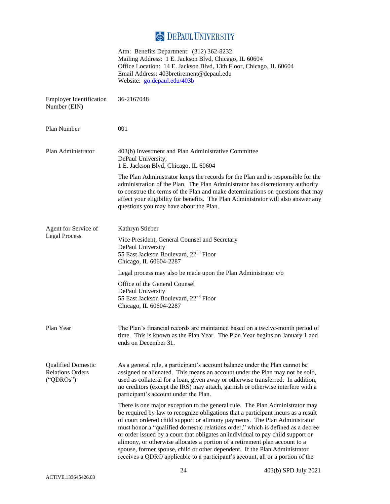|                                                                   | Attn: Benefits Department: (312) 362-8232<br>Mailing Address: 1 E. Jackson Blvd, Chicago, IL 60604<br>Office Location: 14 E. Jackson Blvd, 13th Floor, Chicago, IL 60604<br>Email Address: 403bretirement@depaul.edu<br>Website: go.depaul.edu/403b                                                                                                                                                                                                                                                                                                                                                                                                                  |
|-------------------------------------------------------------------|----------------------------------------------------------------------------------------------------------------------------------------------------------------------------------------------------------------------------------------------------------------------------------------------------------------------------------------------------------------------------------------------------------------------------------------------------------------------------------------------------------------------------------------------------------------------------------------------------------------------------------------------------------------------|
| <b>Employer Identification</b><br>Number (EIN)                    | 36-2167048                                                                                                                                                                                                                                                                                                                                                                                                                                                                                                                                                                                                                                                           |
| Plan Number                                                       | 001                                                                                                                                                                                                                                                                                                                                                                                                                                                                                                                                                                                                                                                                  |
| Plan Administrator                                                | 403(b) Investment and Plan Administrative Committee<br>DePaul University,<br>1 E. Jackson Blvd, Chicago, IL 60604                                                                                                                                                                                                                                                                                                                                                                                                                                                                                                                                                    |
|                                                                   | The Plan Administrator keeps the records for the Plan and is responsible for the<br>administration of the Plan. The Plan Administrator has discretionary authority<br>to construe the terms of the Plan and make determinations on questions that may<br>affect your eligibility for benefits. The Plan Administrator will also answer any<br>questions you may have about the Plan.                                                                                                                                                                                                                                                                                 |
| Agent for Service of                                              | Kathryn Stieber                                                                                                                                                                                                                                                                                                                                                                                                                                                                                                                                                                                                                                                      |
| <b>Legal Process</b>                                              | Vice President, General Counsel and Secretary<br>DePaul University<br>55 East Jackson Boulevard, 22 <sup>nd</sup> Floor<br>Chicago, IL 60604-2287                                                                                                                                                                                                                                                                                                                                                                                                                                                                                                                    |
|                                                                   | Legal process may also be made upon the Plan Administrator c/o                                                                                                                                                                                                                                                                                                                                                                                                                                                                                                                                                                                                       |
|                                                                   | Office of the General Counsel<br>DePaul University<br>55 East Jackson Boulevard, 22 <sup>nd</sup> Floor<br>Chicago, IL 60604-2287                                                                                                                                                                                                                                                                                                                                                                                                                                                                                                                                    |
| Plan Year                                                         | The Plan's financial records are maintained based on a twelve-month period of<br>time. This is known as the Plan Year. The Plan Year begins on January 1 and<br>ends on December 31.                                                                                                                                                                                                                                                                                                                                                                                                                                                                                 |
| <b>Qualified Domestic</b><br><b>Relations Orders</b><br>("QDROs") | As a general rule, a participant's account balance under the Plan cannot be<br>assigned or alienated. This means an account under the Plan may not be sold,<br>used as collateral for a loan, given away or otherwise transferred. In addition,<br>no creditors (except the IRS) may attach, garnish or otherwise interfere with a<br>participant's account under the Plan.                                                                                                                                                                                                                                                                                          |
|                                                                   | There is one major exception to the general rule. The Plan Administrator may<br>be required by law to recognize obligations that a participant incurs as a result<br>of court ordered child support or alimony payments. The Plan Administrator<br>must honor a "qualified domestic relations order," which is defined as a decree<br>or order issued by a court that obligates an individual to pay child support or<br>alimony, or otherwise allocates a portion of a retirement plan account to a<br>spouse, former spouse, child or other dependent. If the Plan Administrator<br>receives a QDRO applicable to a participant's account, all or a portion of the |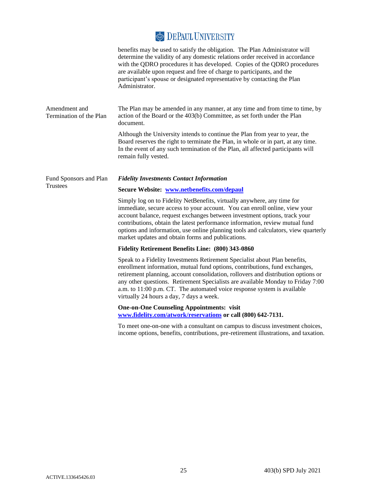|                                          | benefits may be used to satisfy the obligation. The Plan Administrator will<br>determine the validity of any domestic relations order received in accordance<br>with the QDRO procedures it has developed. Copies of the QDRO procedures<br>are available upon request and free of charge to participants, and the<br>participant's spouse or designated representative by contacting the Plan<br>Administrator.                                              |
|------------------------------------------|---------------------------------------------------------------------------------------------------------------------------------------------------------------------------------------------------------------------------------------------------------------------------------------------------------------------------------------------------------------------------------------------------------------------------------------------------------------|
| Amendment and<br>Termination of the Plan | The Plan may be amended in any manner, at any time and from time to time, by<br>action of the Board or the 403(b) Committee, as set forth under the Plan<br>document.                                                                                                                                                                                                                                                                                         |
|                                          | Although the University intends to continue the Plan from year to year, the<br>Board reserves the right to terminate the Plan, in whole or in part, at any time.<br>In the event of any such termination of the Plan, all affected participants will<br>remain fully vested.                                                                                                                                                                                  |
| Fund Sponsors and Plan                   | <b>Fidelity Investments Contact Information</b>                                                                                                                                                                                                                                                                                                                                                                                                               |
| Trustees                                 | Secure Website: www.netbenefits.com/depaul                                                                                                                                                                                                                                                                                                                                                                                                                    |
|                                          | Simply log on to Fidelity NetBenefits, virtually anywhere, any time for<br>immediate, secure access to your account. You can enroll online, view your<br>account balance, request exchanges between investment options, track your<br>contributions, obtain the latest performance information, review mutual fund<br>options and information, use online planning tools and calculators, view quarterly<br>market updates and obtain forms and publications. |
|                                          | Fidelity Retirement Benefits Line: (800) 343-0860                                                                                                                                                                                                                                                                                                                                                                                                             |
|                                          | Speak to a Fidelity Investments Retirement Specialist about Plan benefits,<br>enrollment information, mutual fund options, contributions, fund exchanges,<br>retirement planning, account consolidation, rollovers and distribution options or<br>any other questions. Retirement Specialists are available Monday to Friday 7:00<br>a.m. to 11:00 p.m. CT. The automated voice response system is available<br>virtually 24 hours a day, 7 days a week.      |
|                                          | <b>One-on-One Counseling Appointments: visit</b><br>www.fidelity.com/atwork/reservations or call (800) 642-7131.                                                                                                                                                                                                                                                                                                                                              |

To meet one-on-one with a consultant on campus to discuss investment choices, income options, benefits, contributions, pre-retirement illustrations, and taxation.